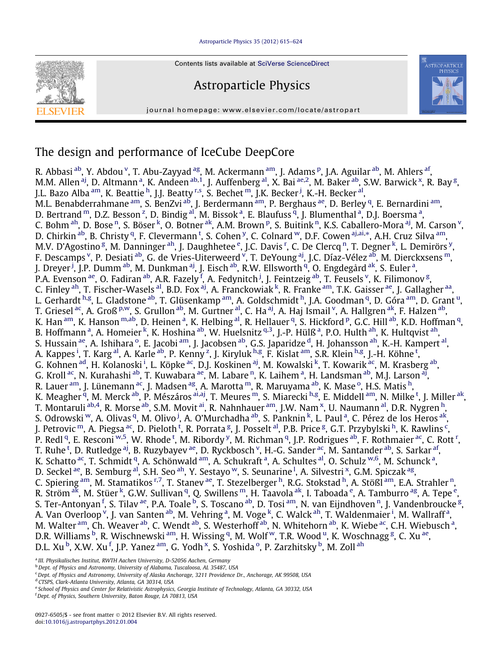## Astroparticle Physics 35 (2012) 615–624



Contents lists available at SciVerse ScienceDirect

# Astroparticle Physics

journal homepage: www.elsevier.com/locate/astropart



# The design and performance of IceCube DeepCore

R. Abbasi <sup>ab</sup>, Y. Abdou <sup>v</sup>, T. Abu-Zayyad <sup>ag</sup>, M. Ackermann <sup>am</sup>, J. Adams <sup>p</sup>, J.A. Aguilar <sup>ab</sup>, M. Ahlers <sup>af</sup>, M.M. Allen <sup>aj</sup>, D. Altmann <sup>a</sup>, K. Andeen <sup>ab, 1</sup>, J. Auffenberg <sup>al</sup>, X. Bai <sup>ae,2</sup>, M. Baker <sup>ab</sup>, S.W. Barwick <sup>x</sup>, R. Bay <sup>g</sup>, J.L. Bazo Alba <sup>am</sup>, K. Beattie <sup>h</sup>, J.J. Beatty <sup>r,s</sup>, S. Bechet <sup>m</sup>, J.K. Becker <sup>j</sup>, K.-H. Becker <sup>al</sup>, M.L. Benabderrahmane <sup>am</sup>, S. BenZvi <sup>ab</sup>, J. Berdermann <sup>am</sup>, P. Berghaus <sup>ae</sup>, D. Berley <sup>q</sup>, E. Bernardini <sup>am</sup>, D. Bertrand  $^{\rm m}$ , D.Z. Besson  $^{\rm z}$ , D. Bindig <sup>al</sup>, M. Bissok <sup>a</sup>, E. Blaufuss <sup>q</sup>, J. Blumenthal <sup>a</sup>, D.J. Boersma <sup>a</sup>, C. Bohm <sup>ah</sup>, D. Bose <sup>n</sup>, S. Böser <sup>k</sup>, O. Botner <sup>ak</sup>, A.M. Brown <sup>p</sup>, S. Buitink <sup>n</sup>, K.S. Caballero-Mora <sup>aj</sup>, M. Carson <sup>v</sup>, Let both the second the second technical contracts the second technical second technical space of the second technical second by B. Christy q, F. Clevermann<sup>t</sup>, S. Cohen <sup>y</sup>, C. Colnard <sup>w</sup>, D.F. Cowen aj,ai,\*, A.H. Cruz S M.V. D'Agostino <sup>g</sup>, M. Danninger <sup>ah</sup>, J. Daughhetee <sup>e</sup>, J.C. Davis <sup>r</sup>, C. De Clercq <sup>n</sup>, T. Degner <sup>k</sup>, L. Demirörs <sup>y</sup>, F. Descamps <sup>v</sup>, P. Desiati <sup>ab</sup>, G. de Vries-Uiterweerd <sup>v</sup>, T. DeYoung <sup>aj</sup>, J.C. Díaz-Vélez <sup>ab</sup>, M. Dierckxsens <sup>m</sup>, J. Dreyer <sup>j</sup>, J.P. Dumm <sup>ab</sup>, M. Dunkman <sup>aj</sup>, J. Eisch <sup>ab</sup>, R.W. Ellsworth <sup>q</sup>, O. Engdegård <sup>ak</sup>, S. Euler <sup>a</sup>, P.A. Evenson <sup>ae</sup>, O. Fadiran <sup>ab</sup>, A.R. Fazely <sup>f</sup>, A. Fedynitch <sup>j</sup>, J. Feintzeig <sup>ab</sup>, T. Feusels <sup>v</sup>, K. Filimonov <sup>g</sup>, C. Finley <sup>ah</sup>, T. Fischer-Wasels <sup>al</sup>, B.D. Fox <sup>aj</sup>, A. Franckowiak <sup>k</sup>, R. Franke <sup>am</sup>, T.K. Gaisser <sup>ae</sup>, J. Gallagher <sup>aa</sup>, L. Gerhardt <sup>h,g</sup>, L. Gladstone <sup>ab</sup>, T. Glüsenkamp <sup>am</sup>, A. Goldschmidt <sup>h</sup>, J.A. Goodman <sup>q</sup>, D. Góra <sup>am</sup>, D. Grant <sup>u</sup>, T. Griesel <sup>ac</sup>, A. Groß <sup>p,w</sup>, S. Grullon <sup>ab</sup>, M. Gurtner <sup>al</sup>, C. Ha <sup>aj</sup>, A. Haj Ismail <sup>v</sup>, A. Hallgren <sup>ak</sup>, F. Halzen <sup>ab</sup>, K. Han <sup>am</sup>, K. Hanson <sup>m,ab</sup>, D. Heinen <sup>a</sup>, K. Helbing <sup>al</sup>, R. Hellauer <sup>q</sup>, S. Hickford <sup>p</sup>, G.C. Hill <sup>ab</sup>, K.D. Hoffman <sup>q</sup>, B. Hoffmann <sup>a</sup>, A. Homeier <sup>k</sup>, K. Hoshina <sup>ab</sup>, W. Huelsnitz <sup>q,3</sup>, J.-P. Hülß <sup>a</sup>, P.O. Hulth <sup>ah</sup>, K. Hultqvist <sup>ah</sup>, S. Hussain <sup>ae</sup>, A. Ishihara <sup>o</sup>, E. Jacobi <sup>am</sup>, J. Jacobsen <sup>ab</sup>, G.S. Japaridze <sup>d</sup>, H. Johansson <sup>ah</sup>, K.-H. Kampert <sup>al</sup>, A. Kappes <sup>i</sup>, T. Karg <sup>al</sup>, A. Karle <sup>ab</sup>, P. Kenny <sup>z</sup>, J. Kiryluk <sup>h,g</sup>, F. Kislat <sup>am</sup>, S.R. Klein <sup>h,g</sup>, J.-H. Köhne <sup>t</sup>, G. Kohnen <sup>ad</sup>, H. Kolanoski <sup>i</sup>, L. Köpke <sup>ac</sup>, D.J. Koskinen <sup>aj</sup>, M. Kowalski <sup>k</sup>, T. Kowarik <sup>ac</sup>, M. Krasberg <sup>ab</sup>, G. Kroll <sup>ac</sup>, N. Kurahashi <sup>ab</sup>, T. Kuwabara <sup>ae</sup>, M. Labare <sup>n</sup>, K. Laihem <sup>a</sup>, H. Landsman <sup>ab</sup>, M.J. Larson <sup>aj</sup>, R. Lauer <sup>am</sup>, J. Lünemann <sup>ac</sup>, J. Madsen <sup>ag</sup>, A. Marotta <sup>m</sup>, R. Maruyama <sup>ab</sup>, K. Mase <sup>o</sup>, H.S. Matis <sup>h</sup>, K. Meagher <sup>q</sup>, M. Merck <sup>ab</sup>, P. Mészáros <sup>ai,aj</sup>, T. Meures <sup>m</sup>, S. Miarecki <sup>h,g</sup>, E. Middell <sup>am</sup>, N. Milke <sup>t</sup>, J. Miller <sup>ak</sup>, T. Montaruli <sup>ab,4</sup>, R. Morse <sup>ab</sup>, S.M. Movit <sup>ai</sup>, R. Nahnhauer <sup>am</sup>, J.W. Nam <sup>x</sup>, U. Naumann <sup>al</sup>, D.R. Nygren <sup>h</sup>, S. Odrowski <sup>w</sup>, A. Olivas <sup>q</sup>, M. Olivo <sup>j</sup>, A. O'Murchadha <sup>ab</sup>, S. Panknin <sup>k</sup>, L. Paul <sup>a</sup>, C. Pérez de los Heros <sup>ak</sup>, J. Petrovic  $^{\rm m}$ , A. Piegsa <sup>ac</sup>, D. Pieloth <sup>t</sup>, R. Porrata <sup>g</sup>, J. Posselt <sup>al</sup>, P.B. Price <sup>g</sup>, G.T. Przybylski <sup>h</sup>, K. Rawlins <sup>c</sup>, P. Redl<sup>q</sup>, E. Resconi <sup>w,5</sup>, W. Rhode <sup>t</sup>, M. Ribordy <sup>y</sup>, M. Richman <sup>q</sup>, J.P. Rodrigues <sup>ab</sup>, F. Rothmaier <sup>ac</sup>, C. Rott <sup>r</sup>, T. Ruhe <sup>t</sup>, D. Rutledge <sup>aj</sup>, B. Ruzybayev <sup>ae</sup>, D. Ryckbosch <sup>v</sup>, H.-G. Sander <sup>ac</sup>, M. Santander <sup>ab</sup>, S. Sarkar <sup>af</sup>, K. Schatto<sup>ac</sup>, T. Schmidt<sup>q</sup>, A. Schönwald <sup>am</sup>, A. Schukraft <sup>a</sup>, A. Schultes <sup>al</sup>, O. Schulz <sup>w,6</sup>, M. Schunck <sup>a</sup>, D. Seckel <sup>ae</sup>, B. Semburg <sup>al</sup>, S.H. Seo <sup>ah</sup>, Y. Sestayo <sup>w</sup>, S. Seunarine <sup>l</sup>, A. Silvestri <sup>x</sup>, G.M. Spiczak <sup>ag</sup>, C. Spiering <sup>am</sup>, M. Stamatikos <sup>r,7</sup>, T. Stanev <sup>ae</sup>, T. Stezelberger <sup>h</sup>, R.G. Stokstad <sup>h</sup>, A. Stößl <sup>am</sup>, E.A. Strahler <sup>n</sup>, R. Ström <sup>ak</sup>, M. Stüer <sup>k</sup>, G.W. Sullivan <sup>q</sup>, Q. Swillens <sup>m</sup>, H. Taavola <sup>ak</sup>, I. Taboada <sup>e</sup>, A. Tamburro <sup>ag</sup>, A. Tepe <sup>e</sup>, S. Ter-Antonyan <sup>f</sup>, S. Tilav <sup>ae</sup>, P.A. Toale <sup>b</sup>, S. Toscano <sup>ab</sup>, D. Tosi <sup>am</sup>, N. van Eijndhoven <sup>n</sup>, J. Vandenbroucke <sup>g</sup>, A. Van Overloop <sup>v</sup>, J. van Santen <sup>ab</sup>, M. Vehring <sup>a</sup>, M. Voge <sup>k</sup>, C. Walck <sup>ah</sup>, T. Waldenmaier <sup>i</sup>, M. Wallraff <sup>a</sup>, M. Walter <sup>am</sup>, Ch. Weaver <sup>ab</sup>, C. Wendt <sup>ab</sup>, S. Westerhoff <sup>ab</sup>, N. Whitehorn <sup>ab</sup>, K. Wiebe <sup>ac</sup>, C.H. Wiebusch <sup>a</sup>, D.R. Williams <sup>b</sup>, R. Wischnewski <sup>am</sup>, H. Wissing <sup>q</sup>, M. Wolf <sup>w</sup>, T.R. Wood <sup>u</sup>, K. Woschnagg <sup>g</sup>, C. Xu <sup>ae</sup>, D.L. Xu <sup>b</sup>, X.W. Xu <sup>f</sup>, J.P. Yanez <sup>am</sup>, G. Yodh <sup>x</sup>, S. Yoshida <sup>o</sup>, P. Zarzhitsky <sup>b</sup>, M. Zoll <sup>ah</sup>

<sup>c</sup> Dept. of Physics and Astronomy, University of Alaska Anchorage, 3211 Providence Dr., Anchorage, AK 99508, USA

<sup>d</sup> CTSPS, Clark-Atlanta University, Atlanta, GA 30314, USA

<sup>&</sup>lt;sup>a</sup> III. Physikalisches Institut, RWTH Aachen University, D-52056 Aachen, Germany

b Dept. of Physics and Astronomy, University of Alabama, Tuscaloosa, AL 35487, USA

e School of Physics and Center for Relativistic Astrophysics, Georgia Institute of Technology, Atlanta, GA 30332, USA

<sup>f</sup>Dept. of Physics, Southern University, Baton Rouge, LA 70813, USA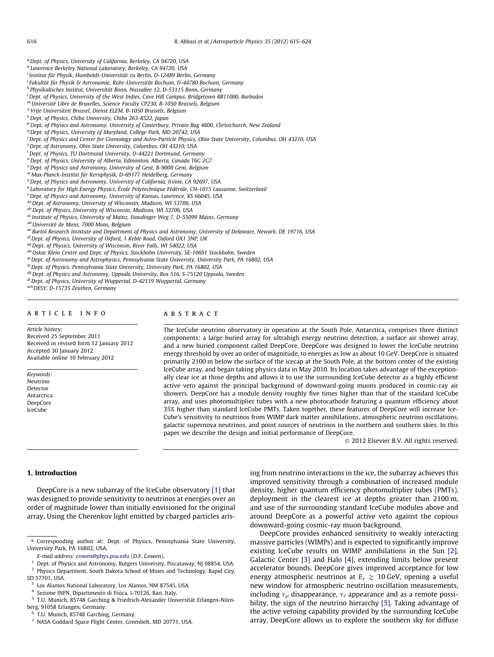<sup>g</sup> Dept. of Physics, University of California, Berkeley, CA 94720, USA

<sup>h</sup> Lawrence Berkeley National Laboratory, Berkeley, CA 94720, USA

<sup>i</sup> Institut für Physik, Humboldt-Universität zu Berlin, D-12489 Berlin, Germany

- <sup>j</sup> Fakultät für Physik & Astronomie, Ruhr-Universität Bochum, D-44780 Bochum, Germany
- k Physikalisches Institut, Universität Bonn, Nussallee 12, D-53115 Bonn, Germany
- <sup>1</sup> Dept. of Physics, University of the West Indies, Cave Hill Campus, Bridgetown BB11000, Barbados
- <sup>m</sup> Université Libre de Bruxelles, Science Faculty CP230, B-1050 Brussels, Belgium
- n Vrije Universiteit Brussel, Dienst ELEM, B-1050 Brussels, Belgium
- <sup>o</sup> Dept. of Physics, Chiba University, Chiba 263-8522, Japan
- <sup>p</sup>Dept. of Physics and Astronomy, University of Canterbury, Private Bag 4800, Christchurch, New Zealand
- <sup>q</sup> Dept. of Physics, University of Maryland, College Park, MD 20742, USA
- rDept. of Physics and Center for Cosmology and Astro-Particle Physics, Ohio State University, Columbus, OH 43210, USA
- <sup>s</sup>Dept. of Astronomy, Ohio State University, Columbus, OH 43210, USA
- <sup>t</sup> Dept. of Physics, TU Dortmund University, D-44221 Dortmund, Germany
- <sup>u</sup> Dept. of Physics, University of Alberta, Edmonton, Alberta, Canada T6G 2G7
- <sup>v</sup>Dept. of Physics and Astronomy, University of Gent, B-9000 Gent, Belgium
- <sup>w</sup> Max-Planck-Institut für Kernphysik, D-69177 Heidelberg, Germany
- <sup>x</sup>Dept. of Physics and Astronomy, University of California, Irvine, CA 92697, USA

y Laboratory for High Energy Physics, École Polytechnique Fédérale, CH-1015 Lausanne, Switzerland

- <sup>z</sup> Dept. of Physics and Astronomy, University of Kansas, Lawrence, KS 66045, USA
- aa Dept. of Astronomy, University of Wisconsin, Madison, WI 53706, USA
- ab Dept. of Physics, University of Wisconsin, Madison, WI 53706, USA
- ac Institute of Physics, University of Mainz, Staudinger Weg 7, D-55099 Mainz, Germany
- ad Université de Mons, 7000 Mons, Belgium
- ae Bartol Research Institute and Department of Physics and Astronomy, University of Delaware, Newark, DE 19716, USA
- af Dept. of Physics, University of Oxford, 1 Keble Road, Oxford OX1 3NP, UK
- ag Dept. of Physics, University of Wisconsin, River Falls, WI 54022, USA
- ah Oskar Klein Centre and Dept. of Physics, Stockholm University, SE-10691 Stockholm, Sweden
- ai Dept. of Astronomy and Astrophysics, Pennsylvania State University, University Park, PA 16802, USA
- aj Dept. of Physics, Pennsylvania State University, University Park, PA 16802, USA
- ak Dept. of Physics and Astronomy, Uppsala University, Box 516, S-75120 Uppsala, Sweden
- al Dept. of Physics, University of Wuppertal, D-42119 Wuppertal, Germany
- am DESY, D-15735 Zeuthen, Germany

#### article info

Article history: Received 25 September 2011 Received in revised form 12 January 2012 Accepted 30 January 2012 Available online 10 February 2012

Keywords: Neutrino Detector Antarctica DeepCore IceCube

# ABSTRACT

The IceCube neutrino observatory in operation at the South Pole, Antarctica, comprises three distinct components: a large buried array for ultrahigh energy neutrino detection, a surface air shower array, and a new buried component called DeepCore. DeepCore was designed to lower the IceCube neutrino energy threshold by over an order of magnitude, to energies as low as about 10 GeV. DeepCore is situated primarily 2100 m below the surface of the icecap at the South Pole, at the bottom center of the existing IceCube array, and began taking physics data in May 2010. Its location takes advantage of the exceptionally clear ice at those depths and allows it to use the surrounding IceCube detector as a highly efficient active veto against the principal background of downward-going muons produced in cosmic-ray air showers. DeepCore has a module density roughly five times higher than that of the standard IceCube array, and uses photomultiplier tubes with a new photocathode featuring a quantum efficiency about 35% higher than standard IceCube PMTs. Taken together, these features of DeepCore will increase Ice-Cube's sensitivity to neutrinos from WIMP dark matter annihilations, atmospheric neutrino oscillations, galactic supernova neutrinos, and point sources of neutrinos in the northern and southern skies. In this paper we describe the design and initial performance of DeepCore.

 $@$  2012 Elsevier B.V. All rights reserved.

#### 1. Introduction

DeepCore is a new subarray of the IceCube observatory [1] that was designed to provide sensitivity to neutrinos at energies over an order of magnitude lower than initially envisioned for the original array. Using the Cherenkov light emitted by charged particles aris-

- <sup>1</sup> Dept. of Physics and Astronomy, Rutgers University, Piscataway, NJ 08854, USA.
- <sup>2</sup> Physics Department, South Dakota School of Mines and Technology, Rapid City, SD 57701, USA.

6 T.U. Munich, 85748 Garching, Germany.

ing from neutrino interactions in the ice, the subarray achieves this improved sensitivity through a combination of increased module density, higher quantum efficiency photomultiplier tubes (PMTs), deployment in the clearest ice at depths greater than 2100 m, and use of the surrounding standard IceCube modules above and around DeepCore as a powerful active veto against the copious downward-going cosmic-ray muon background.

DeepCore provides enhanced sensitivity to weakly interacting massive particles (WIMPs) and is expected to significantly improve existing IceCube results on WIMP annihilations in the Sun [2], Galactic Center [3] and Halo [4], extending limits below present accelerator bounds. DeepCore gives improved acceptance for low energy atmospheric neutrinos at  $E_v \ge 10$  GeV, opening a useful new window for atmospheric neutrino oscillation measurements, including  $v_{\mu}$  disappearance,  $v_{\tau}$  appearance and as a remote possibility, the sign of the neutrino hierarchy [5]. Taking advantage of the active vetoing capability provided by the surrounding IceCube array, DeepCore allows us to explore the southern sky for diffuse

<sup>⇑</sup> Corresponding author at: Dept. of Physics, Pennsylvania State University, University Park, PA 16802, USA.

E-mail address: cowen@phys.psu.edu (D.F. Cowen).

<sup>&</sup>lt;sup>3</sup> Los Alamos National Laboratory, Los Alamos, NM 87545, USA.

<sup>4</sup> Sezione INFN, Dipartimento di Fisica, I-70126, Bari, Italy.

<sup>5</sup> T.U. Munich, 85748 Garching & Friedrich-Alexander Universität Erlangen-Nürnberg, 91058 Erlangen, Germany.

<sup>7</sup> NASA Goddard Space Flight Center, Greenbelt, MD 20771, USA.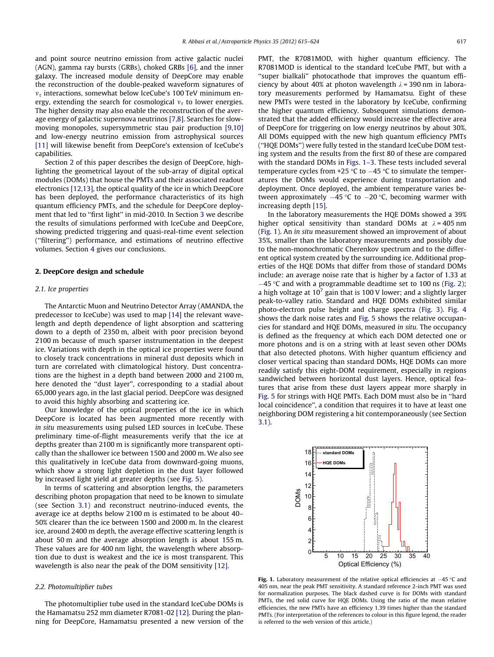and point source neutrino emission from active galactic nuclei (AGN), gamma ray bursts (GRBs), choked GRBs [6], and the inner galaxy. The increased module density of DeepCore may enable the reconstruction of the double-peaked waveform signatures of  $v<sub>\tau</sub>$  interactions, somewhat below IceCube's 100 TeV minimum energy, extending the search for cosmological  $v<sub>\tau</sub>$  to lower energies. The higher density may also enable the reconstruction of the average energy of galactic supernova neutrinos [7,8]. Searches for slowmoving monopoles, supersymmetric stau pair production [9,10] and low-energy neutrino emission from astrophysical sources [11] will likewise benefit from DeepCore's extension of IceCube's capabilities.

Section 2 of this paper describes the design of DeepCore, highlighting the geometrical layout of the sub-array of digital optical modules (DOMs) that house the PMTs and their associated readout electronics [12,13], the optical quality of the ice in which DeepCore has been deployed, the performance characteristics of its high quantum efficiency PMTs, and the schedule for DeepCore deployment that led to ''first light'' in mid-2010. In Section 3 we describe the results of simulations performed with IceCube and DeepCore, showing predicted triggering and quasi-real-time event selection (''filtering'') performance, and estimations of neutrino effective volumes. Section 4 gives our conclusions.

### 2. DeepCore design and schedule

## 2.1. Ice properties

The Antarctic Muon and Neutrino Detector Array (AMANDA, the predecessor to IceCube) was used to map [14] the relevant wavelength and depth dependence of light absorption and scattering down to a depth of 2350 m, albeit with poor precision beyond 2100 m because of much sparser instrumentation in the deepest ice. Variations with depth in the optical ice properties were found to closely track concentrations in mineral dust deposits which in turn are correlated with climatological history. Dust concentrations are the highest in a depth band between 2000 and 2100 m, here denoted the ''dust layer'', corresponding to a stadial about 65,000 years ago, in the last glacial period. DeepCore was designed to avoid this highly absorbing and scattering ice.

Our knowledge of the optical properties of the ice in which DeepCore is located has been augmented more recently with in situ measurements using pulsed LED sources in IceCube. These preliminary time-of-flight measurements verify that the ice at depths greater than 2100 m is significantly more transparent optically than the shallower ice between 1500 and 2000 m. We also see this qualitatively in IceCube data from downward-going muons, which show a strong light depletion in the dust layer followed by increased light yield at greater depths (see Fig. 5).

In terms of scattering and absorption lengths, the parameters describing photon propagation that need to be known to simulate (see Section 3.1) and reconstruct neutrino-induced events, the average ice at depths below 2100 m is estimated to be about 40– 50% clearer than the ice between 1500 and 2000 m. In the clearest ice, around 2400 m depth, the average effective scattering length is about 50 m and the average absorption length is about 155 m. These values are for 400 nm light, the wavelength where absorption due to dust is weakest and the ice is most transparent. This wavelength is also near the peak of the DOM sensitivity [12].

## 2.2. Photomultiplier tubes

The photomultiplier tube used in the standard IceCube DOMs is the Hamamatsu 252 mm diameter R7081-02 [12]. During the planning for DeepCore, Hamamatsu presented a new version of the PMT, the R7081MOD, with higher quantum efficiency. The R7081MOD is identical to the standard IceCube PMT, but with a ''super bialkali'' photocathode that improves the quantum efficiency by about 40% at photon wavelength  $\lambda$  = 390 nm in laboratory measurements performed by Hamamatsu. Eight of these new PMTs were tested in the laboratory by IceCube, confirming the higher quantum efficiency. Subsequent simulations demonstrated that the added efficiency would increase the effective area of DeepCore for triggering on low energy neutrinos by about 30%. All DOMs equipped with the new high quantum efficiency PMTs (''HQE DOMs'') were fully tested in the standard IceCube DOM testing system and the results from the first 80 of these are compared with the standard DOMs in Figs. 1–3. These tests included several temperature cycles from  $+25$  °C to  $-45$  °C to simulate the temperatures the DOMs would experience during transportation and deployment. Once deployed, the ambient temperature varies between approximately  $-45$  °C to  $-20$  °C, becoming warmer with increasing depth [15].

In the laboratory measurements the HQE DOMs showed a 39% higher optical sensitivity than standard DOMs at  $\lambda = 405$  nm (Fig. 1). An in situ measurement showed an improvement of about 35%, smaller than the laboratory measurements and possibly due to the non-monochromatic Cherenkov spectrum and to the different optical system created by the surrounding ice. Additional properties of the HQE DOMs that differ from those of standard DOMs include: an average noise rate that is higher by a factor of 1.33 at  $-45$  °C and with a programmable deadtime set to 100 ns (Fig. 2); a high voltage at  $10^7$  gain that is 100 V lower; and a slightly larger peak-to-valley ratio. Standard and HQE DOMs exhibited similar photo-electron pulse height and charge spectra (Fig. 3). Fig. 4 shows the dark noise rates and Fig. 5 shows the relative occupancies for standard and HQE DOMs, measured in situ. The occupancy is defined as the frequency at which each DOM detected one or more photons and is on a string with at least seven other DOMs that also detected photons. With higher quantum efficiency and closer vertical spacing than standard DOMs, HQE DOMs can more readily satisfy this eight-DOM requirement, especially in regions sandwiched between horizontal dust layers. Hence, optical features that arise from these dust layers appear more sharply in Fig. 5 for strings with HQE PMTs. Each DOM must also be in ''hard local coincidence'', a condition that requires it to have at least one neighboring DOM registering a hit contemporaneously (see Section 3.1).



Fig. 1. Laboratory measurement of the relative optical efficiencies at  $-45$  °C and 405 nm, near the peak PMT sensitivity. A standard reference 2-inch PMT was used for normalization purposes. The black dashed curve is for DOMs with standard PMTs, the red solid curve for HQE DOMs. Using the ratio of the mean relative efficiencies, the new PMTs have an efficiency 1.39 times higher than the standard PMTs. (For interpretation of the references to colour in this figure legend, the reader is referred to the web version of this article.)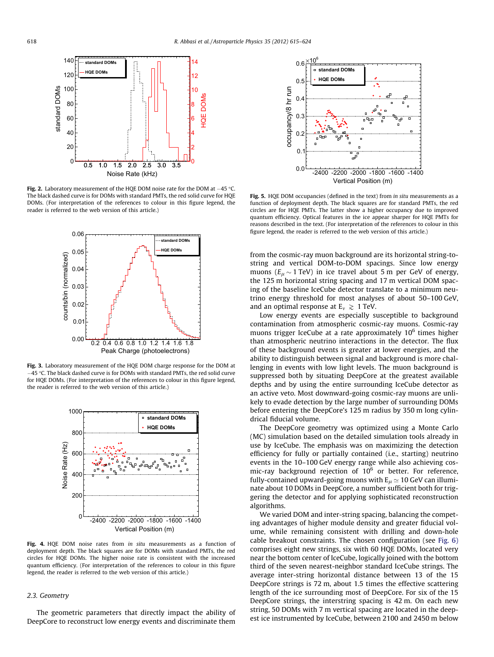

Fig. 2. Laboratory measurement of the HQE DOM noise rate for the DOM at  $-45$  °C. The black dashed curve is for DOMs with standard PMTs, the red solid curve for HQE DOMs. (For interpretation of the references to colour in this figure legend, the reader is referred to the web version of this article.)



Fig. 3. Laboratory measurement of the HQE DOM charge response for the DOM at -45 °C. The black dashed curve is for DOMs with standard PMTs, the red solid curve for HQE DOMs. (For interpretation of the references to colour in this figure legend, the reader is referred to the web version of this article.)



Fig. 4. HOE DOM noise rates from in situ measurements as a function of deployment depth. The black squares are for DOMs with standard PMTs, the red circles for HQE DOMs. The higher noise rate is consistent with the increased quantum efficiency. (For interpretation of the references to colour in this figure legend, the reader is referred to the web version of this article.)

#### 2.3. Geometry

The geometric parameters that directly impact the ability of DeepCore to reconstruct low energy events and discriminate them



Fig. 5. HQE DOM occupancies (defined in the text) from in situ measurements as a function of deployment depth. The black squares are for standard PMTs, the red circles are for HQE PMTs. The latter show a higher occupancy due to improved quantum efficiency. Optical features in the ice appear sharper for HQE PMTs for reasons described in the text. (For interpretation of the references to colour in this figure legend, the reader is referred to the web version of this article.)

from the cosmic-ray muon background are its horizontal string-tostring and vertical DOM-to-DOM spacings. Since low energy muons ( $E_u \sim 1$  TeV) in ice travel about 5 m per GeV of energy, the 125 m horizontal string spacing and 17 m vertical DOM spacing of the baseline IceCube detector translate to a minimum neutrino energy threshold for most analyses of about 50–100 GeV, and an optimal response at  $E_v \ge 1$  TeV.

Low energy events are especially susceptible to background contamination from atmospheric cosmic-ray muons. Cosmic-ray muons trigger IceCube at a rate approximately  $10^6$  times higher than atmospheric neutrino interactions in the detector. The flux of these background events is greater at lower energies, and the ability to distinguish between signal and background is more challenging in events with low light levels. The muon background is suppressed both by situating DeepCore at the greatest available depths and by using the entire surrounding IceCube detector as an active veto. Most downward-going cosmic-ray muons are unlikely to evade detection by the large number of surrounding DOMs before entering the DeepCore's 125 m radius by 350 m long cylindrical fiducial volume.

The DeepCore geometry was optimized using a Monte Carlo (MC) simulation based on the detailed simulation tools already in use by IceCube. The emphasis was on maximizing the detection efficiency for fully or partially contained (i.e., starting) neutrino events in the 10–100 GeV energy range while also achieving cosmic-ray background rejection of 10<sup>6</sup> or better. For reference, fully-contained upward-going muons with  $E_\mu \simeq 10$  GeV can illuminate about 10 DOMs in DeepCore, a number sufficient both for triggering the detector and for applying sophisticated reconstruction algorithms.

We varied DOM and inter-string spacing, balancing the competing advantages of higher module density and greater fiducial volume, while remaining consistent with drilling and down-hole cable breakout constraints. The chosen configuration (see Fig. 6) comprises eight new strings, six with 60 HQE DOMs, located very near the bottom center of IceCube, logically joined with the bottom third of the seven nearest-neighbor standard IceCube strings. The average inter-string horizontal distance between 13 of the 15 DeepCore strings is 72 m, about 1.5 times the effective scattering length of the ice surrounding most of DeepCore. For six of the 15 DeepCore strings, the interstring spacing is 42 m. On each new string, 50 DOMs with 7 m vertical spacing are located in the deepest ice instrumented by IceCube, between 2100 and 2450 m below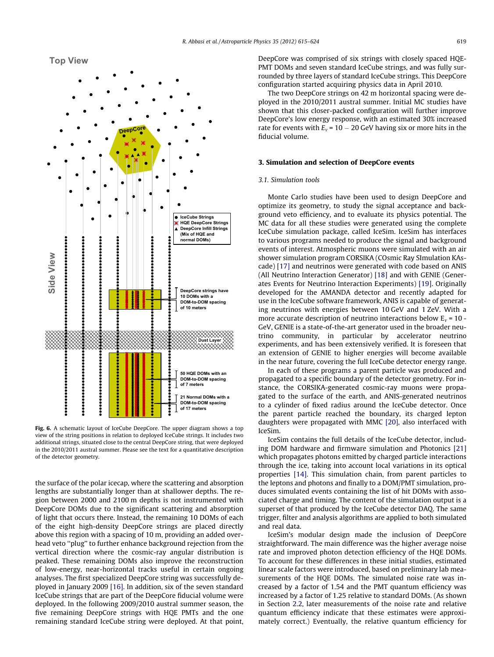



Fig. 6. A schematic layout of IceCube DeepCore. The upper diagram shows a top view of the string positions in relation to deployed IceCube strings. It includes two additional strings, situated close to the central DeepCore string, that were deployed in the 2010/2011 austral summer. Please see the text for a quantitative description of the detector geometry.

the surface of the polar icecap, where the scattering and absorption lengths are substantially longer than at shallower depths. The region between 2000 and 2100 m depths is not instrumented with DeepCore DOMs due to the significant scattering and absorption of light that occurs there. Instead, the remaining 10 DOMs of each of the eight high-density DeepCore strings are placed directly above this region with a spacing of 10 m, providing an added overhead veto ''plug'' to further enhance background rejection from the vertical direction where the cosmic-ray angular distribution is peaked. These remaining DOMs also improve the reconstruction of low-energy, near-horizontal tracks useful in certain ongoing analyses. The first specialized DeepCore string was successfully deployed in January 2009 [16]. In addition, six of the seven standard IceCube strings that are part of the DeepCore fiducial volume were deployed. In the following 2009/2010 austral summer season, the five remaining DeepCore strings with HQE PMTs and the one remaining standard IceCube string were deployed. At that point,

The two DeepCore strings on 42 m horizontal spacing were deployed in the 2010/2011 austral summer. Initial MC studies have shown that this closer-packed configuration will further improve DeepCore's low energy response, with an estimated 30% increased rate for events with  $E_v$  = 10  $-$  20 GeV having six or more hits in the fiducial volume.

## 3. Simulation and selection of DeepCore events

### 3.1. Simulation tools

Monte Carlo studies have been used to design DeepCore and optimize its geometry, to study the signal acceptance and background veto efficiency, and to evaluate its physics potential. The MC data for all these studies were generated using the complete IceCube simulation package, called IceSim. IceSim has interfaces to various programs needed to produce the signal and background events of interest. Atmospheric muons were simulated with an air shower simulation program CORSIKA (COsmic Ray SImulation KAscade) [17] and neutrinos were generated with code based on ANIS (All Neutrino Interaction Generator) [18] and with GENIE (Generates Events for Neutrino Interaction Experiments) [19]. Originally developed for the AMANDA detector and recently adapted for use in the IceCube software framework, ANIS is capable of generating neutrinos with energies between 10 GeV and 1 ZeV. With a more accurate description of neutrino interactions below  $E_v = 10 -$ GeV, GENIE is a state-of-the-art generator used in the broader neutrino community, in particular by accelerator neutrino experiments, and has been extensively verified. It is foreseen that an extension of GENIE to higher energies will become available in the near future, covering the full IceCube detector energy range.

In each of these programs a parent particle was produced and propagated to a specific boundary of the detector geometry. For instance, the CORSIKA-generated cosmic-ray muons were propagated to the surface of the earth, and ANIS-generated neutrinos to a cylinder of fixed radius around the IceCube detector. Once the parent particle reached the boundary, its charged lepton daughters were propagated with MMC [20], also interfaced with IceSim.

IceSim contains the full details of the IceCube detector, including DOM hardware and firmware simulation and Photonics [21] which propagates photons emitted by charged particle interactions through the ice, taking into account local variations in its optical properties [14]. This simulation chain, from parent particles to the leptons and photons and finally to a DOM/PMT simulation, produces simulated events containing the list of hit DOMs with associated charge and timing. The content of the simulation output is a superset of that produced by the IceCube detector DAQ. The same trigger, filter and analysis algorithms are applied to both simulated and real data.

IceSim's modular design made the inclusion of DeepCore straightforward. The main difference was the higher average noise rate and improved photon detection efficiency of the HQE DOMs. To account for these differences in these initial studies, estimated linear scale factors were introduced, based on preliminary lab measurements of the HQE DOMs. The simulated noise rate was increased by a factor of 1.54 and the PMT quantum efficiency was increased by a factor of 1.25 relative to standard DOMs. (As shown in Section 2.2, later measurements of the noise rate and relative quantum efficiency indicate that these estimates were approximately correct.) Eventually, the relative quantum efficiency for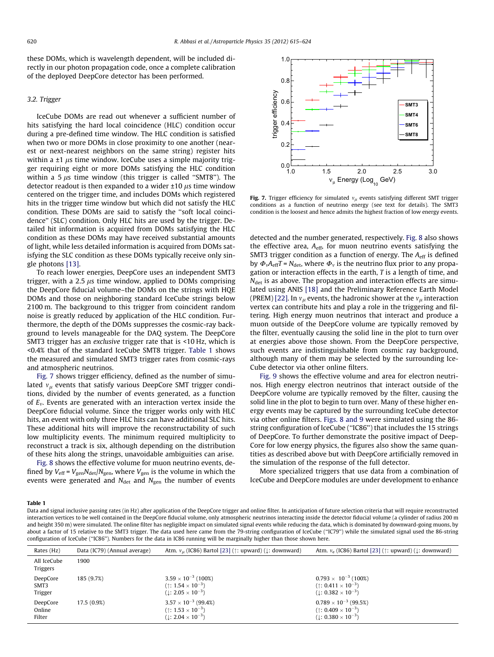these DOMs, which is wavelength dependent, will be included directly in our photon propagation code, once a complete calibration of the deployed DeepCore detector has been performed.

## 3.2. Trigger

IceCube DOMs are read out whenever a sufficient number of hits satisfying the hard local coincidence (HLC) condition occur during a pre-defined time window. The HLC condition is satisfied when two or more DOMs in close proximity to one another (nearest or next-nearest neighbors on the same string) register hits within a  $\pm 1$   $\mu$ s time window. IceCube uses a simple majority trigger requiring eight or more DOMs satisfying the HLC condition within a 5  $\mu$ s time window (this trigger is called "SMT8"). The detector readout is then expanded to a wider  $\pm 10 \mu s$  time window centered on the trigger time, and includes DOMs which registered hits in the trigger time window but which did not satisfy the HLC condition. These DOMs are said to satisfy the ''soft local coincidence'' (SLC) condition. Only HLC hits are used by the trigger. Detailed hit information is acquired from DOMs satisfying the HLC condition as these DOMs may have received substantial amounts of light, while less detailed information is acquired from DOMs satisfying the SLC condition as these DOMs typically receive only single photons [13].

To reach lower energies, DeepCore uses an independent SMT3 trigger, with a 2.5  $\mu$ s time window, applied to DOMs comprising the DeepCore fiducial volume–the DOMs on the strings with HQE DOMs and those on neighboring standard IceCube strings below 2100 m. The background to this trigger from coincident random noise is greatly reduced by application of the HLC condition. Furthermore, the depth of the DOMs suppresses the cosmic-ray background to levels manageable for the DAQ system. The DeepCore SMT3 trigger has an exclusive trigger rate that is <10 Hz, which is <0.4% that of the standard IceCube SMT8 trigger. Table 1 shows the measured and simulated SMT3 trigger rates from cosmic-rays and atmospheric neutrinos.

Fig. 7 shows trigger efficiency, defined as the number of simulated  $v_{\mu}$  events that satisfy various DeepCore SMT trigger conditions, divided by the number of events generated, as a function of  $E_v$ . Events are generated with an interaction vertex inside the DeepCore fiducial volume. Since the trigger works only with HLC hits, an event with only three HLC hits can have additional SLC hits. These additional hits will improve the reconstructability of such low multiplicity events. The minimum required multiplicity to reconstruct a track is six, although depending on the distribution of these hits along the strings, unavoidable ambiguities can arise.

Fig. 8 shows the effective volume for muon neutrino events, defined by  $V_{\text{eff}} = V_{\text{gen}} N_{\text{det}} / N_{\text{gen}}$ , where  $V_{\text{gen}}$  is the volume in which the events were generated and  $N_{\text{det}}$  and  $N_{\text{gen}}$  the number of events



Fig. 7. Trigger efficiency for simulated  $v_\mu$  events satisfying different SMT trigger conditions as a function of neutrino energy (see text for details). The SMT3 condition is the loosest and hence admits the highest fraction of low energy events.

detected and the number generated, respectively. Fig. 8 also shows the effective area,  $A_{\text{eff}}$ , for muon neutrino events satisfying the SMT3 trigger condition as a function of energy. The  $A<sub>eff</sub>$  is defined by  $\Phi_{v}A_{\text{eff}}T = N_{\text{det}}$ , where  $\Phi_{v}$  is the neutrino flux prior to any propagation or interaction effects in the earth, T is a length of time, and  $N_{\text{det}}$  is as above. The propagation and interaction effects are simulated using ANIS [18] and the Preliminary Reference Earth Model (PREM) [22]. In  $v_\mu$  events, the hadronic shower at the  $v_\mu$  interaction vertex can contribute hits and play a role in the triggering and filtering. High energy muon neutrinos that interact and produce a muon outside of the DeepCore volume are typically removed by the filter, eventually causing the solid line in the plot to turn over at energies above those shown. From the DeepCore perspective, such events are indistinguishable from cosmic ray background, although many of them may be selected by the surrounding Ice-Cube detector via other online filters.

Fig. 9 shows the effective volume and area for electron neutrinos. High energy electron neutrinos that interact outside of the DeepCore volume are typically removed by the filter, causing the solid line in the plot to begin to turn over. Many of these higher energy events may be captured by the surrounding IceCube detector via other online filters. Figs. 8 and 9 were simulated using the 86 string configuration of IceCube (''IC86'') that includes the 15 strings of DeepCore. To further demonstrate the positive impact of Deep-Core for low energy physics, the figures also show the same quantities as described above but with DeepCore artificially removed in the simulation of the response of the full detector.

More specialized triggers that use data from a combination of IceCube and DeepCore modules are under development to enhance

#### Table 1

Data and signal inclusive passing rates (in Hz) after application of the DeepCore trigger and online filter. In anticipation of future selection criteria that will require reconstructed interaction vertices to be well contained in the DeepCore fiducial volume, only atmospheric neutrinos interacting inside the detector fiducial volume (a cylinder of radius 200 m and height 350 m) were simulated. The online filter has negligible impact on simulated signal events while reducing the data, which is dominated by downward-going muons, by about a factor of 15 relative to the SMT3 trigger. The data used here came from the 79-string configuration of IceCube ("IC79") while the simulated signal used the 86-string configuration of IceCube (''IC86''). Numbers for the data in IC86 running will be marginally higher than those shown here.

| Rates (Hz)              | Data (IC79) (Annual average) | Atm. $v_{\mu}$ (IC86) Bartol [23] ( $\uparrow$ : upward) ( $\downarrow$ : downward) | Atm. $v_e$ (IC86) Bartol [23] (1: upward) (1: downward) |
|-------------------------|------------------------------|-------------------------------------------------------------------------------------|---------------------------------------------------------|
| All IceCube<br>Triggers | 1900                         |                                                                                     |                                                         |
| DeepCore                | 185 (9.7%)                   | $3.59 \times 10^{-3}$ (100%)                                                        | $0.793 \times 10^{-3}$ (100%)                           |
| SMT3                    |                              | $($ $\uparrow$ : 1.54 $\times$ 10 <sup>-3</sup> )                                   | $($ $\uparrow$ : 0.411 $\times$ 10 <sup>-3</sup> )      |
| Trigger                 |                              | $($ : 2.05 $\times$ 10 <sup>-3</sup> )                                              | $($ 1: 0.382 $\times$ 10 <sup>-3</sup> )                |
| DeepCore                | 17.5 (0.9%)                  | $3.57 \times 10^{-3}$ (99.4%)                                                       | $0.789 \times 10^{-3}$ (99.5%)                          |
| Online                  |                              | $($ $\uparrow$ : 1.53 $\times$ 10 <sup>-3</sup> )                                   | $($ $\uparrow$ : 0.409 $\times$ 10 <sup>-3</sup> )      |
| Filter                  |                              | $($ : 2.04 $\times$ 10 <sup>-3</sup> )                                              | $($ 1: 0.380 $\times$ 10 <sup>-3</sup> )                |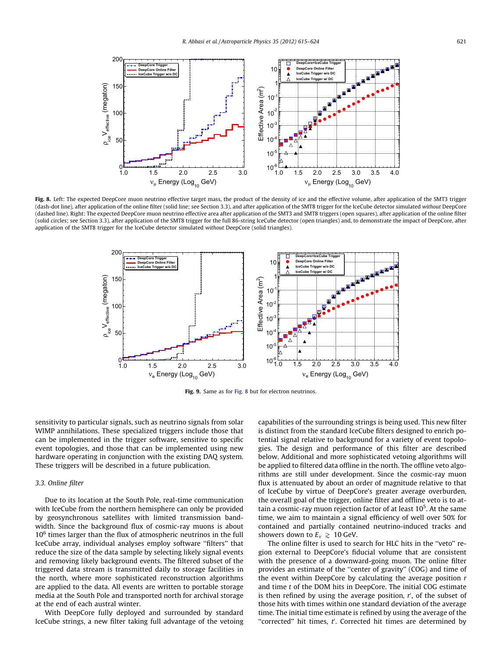

Fig. 8. Left: The expected DeepCore muon neutrino effective target mass, the product of the density of ice and the effective volume, after application of the SMT3 trigger (dash-dot line), after application of the online filter (solid line; see Section 3.3), and after application of the SMT8 trigger for the IceCube detector simulated without DeepCore (dashed line). Right: The expected DeepCore muon neutrino effective area after application of the SMT3 and SMT8 triggers (open squares), after application of the online filter (solid circles; see Section 3.3), after application of the SMT8 trigger for the full 86-string IceCube detector (open triangles) and, to demonstrate the impact of DeepCore, after application of the SMT8 trigger for the IceCube detector simulated without DeepCore (solid triangles).



Fig. 9. Same as for Fig. 8 but for electron neutrinos.

sensitivity to particular signals, such as neutrino signals from solar WIMP annihilations. These specialized triggers include those that can be implemented in the trigger software, sensitive to specific event topologies, and those that can be implemented using new hardware operating in conjunction with the existing DAQ system. These triggers will be described in a future publication.

## 3.3. Online filter

Due to its location at the South Pole, real-time communication with IceCube from the northern hemisphere can only be provided by geosynchronous satellites with limited transmission bandwidth. Since the background flux of cosmic-ray muons is about 10<sup>6</sup> times larger than the flux of atmospheric neutrinos in the full IceCube array, individual analyses employ software ''filters'' that reduce the size of the data sample by selecting likely signal events and removing likely background events. The filtered subset of the triggered data stream is transmitted daily to storage facilities in the north, where more sophisticated reconstruction algorithms are applied to the data. All events are written to portable storage media at the South Pole and transported north for archival storage at the end of each austral winter.

With DeepCore fully deployed and surrounded by standard IceCube strings, a new filter taking full advantage of the vetoing capabilities of the surrounding strings is being used. This new filter is distinct from the standard IceCube filters designed to enrich potential signal relative to background for a variety of event topologies. The design and performance of this filter are described below. Additional and more sophisticated vetoing algorithms will be applied to filtered data offline in the north. The offline veto algorithms are still under development. Since the cosmic-ray muon flux is attenuated by about an order of magnitude relative to that of IceCube by virtue of DeepCore's greater average overburden, the overall goal of the trigger, online filter and offline veto is to attain a cosmic-ray muon rejection factor of at least  $10^5$ . At the same time, we aim to maintain a signal efficiency of well over 50% for contained and partially contained neutrino-induced tracks and showers down to  $E_v \geq 10$  GeV.

The online filter is used to search for HLC hits in the ''veto'' region external to DeepCore's fiducial volume that are consistent with the presence of a downward-going muon. The online filter provides an estimate of the ''center of gravity'' (COG) and time of the event within DeepCore by calculating the average position  $r$ and time t of the DOM hits in DeepCore. The initial COG estimate is then refined by using the average position,  $r'$ , of the subset of those hits with times within one standard deviation of the average time. The initial time estimate is refined by using the average of the "corrected" hit times,  $t'$ . Corrected hit times are determined by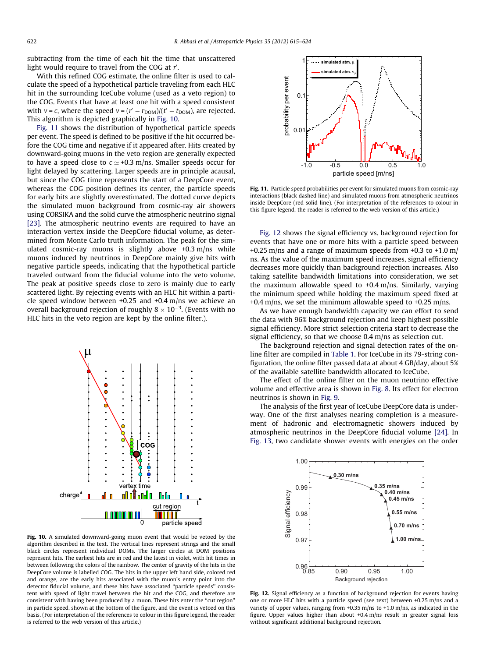subtracting from the time of each hit the time that unscattered light would require to travel from the COG at  $r'$ .

With this refined COG estimate, the online filter is used to calculate the speed of a hypothetical particle traveling from each HLC hit in the surrounding IceCube volume (used as a veto region) to the COG. Events that have at least one hit with a speed consistent with  $v$  = c, where the speed  $v$  = ( $r'$  –  $r_{\rm DOM})$ )/( $t'$  –  $t_{\rm DOM}$ ), are rejected. This algorithm is depicted graphically in Fig. 10.

Fig. 11 shows the distribution of hypothetical particle speeds per event. The speed is defined to be positive if the hit occurred before the COG time and negative if it appeared after. Hits created by downward-going muons in the veto region are generally expected to have a speed close to  $c \approx +0.3$  m/ns. Smaller speeds occur for light delayed by scattering. Larger speeds are in principle acausal, but since the COG time represents the start of a DeepCore event, whereas the COG position defines its center, the particle speeds for early hits are slightly overestimated. The dotted curve depicts the simulated muon background from cosmic-ray air showers using CORSIKA and the solid curve the atmospheric neutrino signal [23]. The atmospheric neutrino events are required to have an interaction vertex inside the DeepCore fiducial volume, as determined from Monte Carlo truth information. The peak for the simulated cosmic-ray muons is slightly above +0.3 m/ns while muons induced by neutrinos in DeepCore mainly give hits with negative particle speeds, indicating that the hypothetical particle traveled outward from the fiducial volume into the veto volume. The peak at positive speeds close to zero is mainly due to early scattered light. By rejecting events with an HLC hit within a particle speed window between +0.25 and +0.4 m/ns we achieve an overall background rejection of roughly 8  $\times$  10 $^{-3}$ . (Events with no HLC hits in the veto region are kept by the online filter.).



Fig. 10. A simulated downward-going muon event that would be vetoed by the algorithm described in the text. The vertical lines represent strings and the small black circles represent individual DOMs. The larger circles at DOM positions represent hits. The earliest hits are in red and the latest in violet, with hit times in between following the colors of the rainbow. The center of gravity of the hits in the DeepCore volume is labelled COG. The hits in the upper left hand side, colored red and orange, are the early hits associated with the muon's entry point into the detector fiducial volume, and these hits have associated ''particle speeds'' consistent with speed of light travel between the hit and the COG, and therefore are consistent with having been produced by a muon. These hits enter the ''cut region'' in particle speed, shown at the bottom of the figure, and the event is vetoed on this basis. (For interpretation of the references to colour in this figure legend, the reader is referred to the web version of this article.)



Fig. 11. Particle speed probabilities per event for simulated muons from cosmic-ray interactions (black dashed line) and simulated muons from atmospheric neutrinos inside DeepCore (red solid line). (For interpretation of the references to colour in this figure legend, the reader is referred to the web version of this article.)

Fig. 12 shows the signal efficiency vs. background rejection for events that have one or more hits with a particle speed between +0.25 m/ns and a range of maximum speeds from +0.3 to +1.0 m/ ns. As the value of the maximum speed increases, signal efficiency decreases more quickly than background rejection increases. Also taking satellite bandwidth limitations into consideration, we set the maximum allowable speed to +0.4 m/ns. Similarly, varying the minimum speed while holding the maximum speed fixed at  $+0.4$  m/ns, we set the minimum allowable speed to  $+0.25$  m/ns.

As we have enough bandwidth capacity we can effort to send the data with 96% background rejection and keep highest possible signal efficiency. More strict selection criteria start to decrease the signal efficiency, so that we choose 0.4 m/ns as selection cut.

The background rejection and signal detection rates of the online filter are compiled in Table 1. For IceCube in its 79-string configuration, the online filter passed data at about 4 GB/day, about 5% of the available satellite bandwidth allocated to IceCube.

The effect of the online filter on the muon neutrino effective volume and effective area is shown in Fig. 8. Its effect for electron neutrinos is shown in Fig. 9.

The analysis of the first year of IceCube DeepCore data is underway. One of the first analyses nearing completion is a measurement of hadronic and electromagnetic showers induced by atmospheric neutrinos in the DeepCore fiducial volume [24]. In Fig. 13, two candidate shower events with energies on the order



Fig. 12. Signal efficiency as a function of background rejection for events having one or more HLC hits with a particle speed (see text) between +0.25 m/ns and a variety of upper values, ranging from +0.35 m/ns to +1.0 m/ns, as indicated in the figure. Upper values higher than about +0.4 m/ns result in greater signal loss without significant additional background rejection.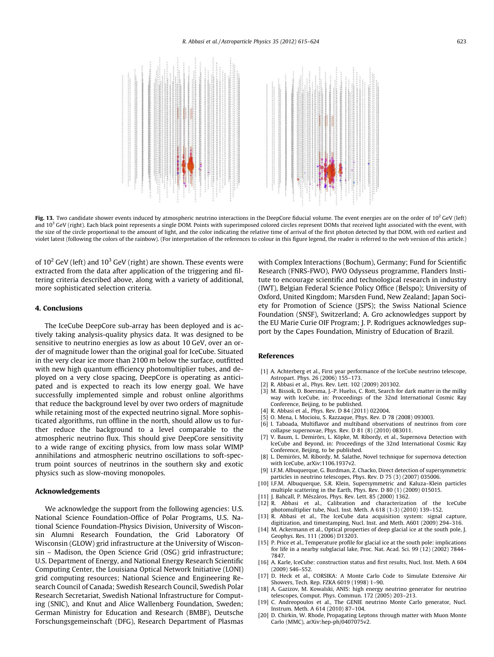

Fig. 13. Two candidate shower events induced by atmospheric neutrino interactions in the DeepCore fiducial volume. The event energies are on the order of  $10^2$  GeV (left) and 10<sup>3</sup> GeV (right). Each black point represents a single DOM. Points with superimposed colored circles represent DOMs that received light associated with the event, with the size of the circle proportional to the amount of light, and the color indicating the relative time of arrival of the first photon detected by that DOM, with red earliest and violet latest (following the colors of the rainbow). (For interpretation of the references to colour in this figure legend, the reader is referred to the web version of this article.)

of  $10^2$  GeV (left) and  $10^3$  GeV (right) are shown. These events were extracted from the data after application of the triggering and filtering criteria described above, along with a variety of additional, more sophisticated selection criteria.

#### 4. Conclusions

The IceCube DeepCore sub-array has been deployed and is actively taking analysis-quality physics data. It was designed to be sensitive to neutrino energies as low as about 10 GeV, over an order of magnitude lower than the original goal for IceCube. Situated in the very clear ice more than 2100 m below the surface, outfitted with new high quantum efficiency photomultiplier tubes, and deployed on a very close spacing, DeepCore is operating as anticipated and is expected to reach its low energy goal. We have successfully implemented simple and robust online algorithms that reduce the background level by over two orders of magnitude while retaining most of the expected neutrino signal. More sophisticated algorithms, run offline in the north, should allow us to further reduce the background to a level comparable to the atmospheric neutrino flux. This should give DeepCore sensitivity to a wide range of exciting physics, from low mass solar WIMP annihilations and atmospheric neutrino oscillations to soft-spectrum point sources of neutrinos in the southern sky and exotic physics such as slow-moving monopoles.

#### Acknowledgements

We acknowledge the support from the following agencies: U.S. National Science Foundation-Office of Polar Programs, U.S. National Science Foundation-Physics Division, University of Wisconsin Alumni Research Foundation, the Grid Laboratory Of Wisconsin (GLOW) grid infrastructure at the University of Wisconsin – Madison, the Open Science Grid (OSG) grid infrastructure; U.S. Department of Energy, and National Energy Research Scientific Computing Center, the Louisiana Optical Network Initiative (LONI) grid computing resources; National Science and Engineering Research Council of Canada; Swedish Research Council, Swedish Polar Research Secretariat, Swedish National Infrastructure for Computing (SNIC), and Knut and Alice Wallenberg Foundation, Sweden; German Ministry for Education and Research (BMBF), Deutsche Forschungsgemeinschaft (DFG), Research Department of Plasmas with Complex Interactions (Bochum), Germany; Fund for Scientific Research (FNRS-FWO), FWO Odysseus programme, Flanders Institute to encourage scientific and technological research in industry (IWT), Belgian Federal Science Policy Office (Belspo); University of Oxford, United Kingdom; Marsden Fund, New Zealand; Japan Society for Promotion of Science (JSPS); the Swiss National Science Foundation (SNSF), Switzerland; A. Gro acknowledges support by the EU Marie Curie OIF Program; J. P. Rodrigues acknowledges support by the Capes Foundation, Ministry of Education of Brazil.

#### References

- [1] A. Achterberg et al., First year performance of the IceCube neutrino telescope, Astropart. Phys. 26 (2006) 155–173.
- R. Abbasi et al., Phys. Rev. Lett. 102 (2009) 201302.
- [3] M. Bissok, D. Boersma, J.-P. Huelss, C. Rott, Search for dark matter in the milky way with IceCube, in: Proceedings of the 32nd International Cosmic Ray Conference, Beijing, to be published.
- [4] R. Abbasi et al., Phys. Rev. D 84 (2011) 022004.
- [5] O. Mena, I. Mocioiu, S. Razzaque, Phys. Rev. D 78 (2008) 093003.
- [6] I. Taboada, Multiflavor and multiband observations of neutrinos from core collapse supernovae, Phys. Rev. D 81 (8) (2010) 083011.
- [7] V. Baum, L. Demirörs, L. Köpke, M. Ribordy, et al., Supernova Detection with IceCube and Beyond, in: Proceedings of the 32nd International Cosmic Ray Conference, Beijing, to be published.
- [8] L. Demirörs, M. Ribordy, M. Salathe, Novel technique for supernova detection with IceCube, arXiv:1106.1937v2.
- [9] I.F.M. Albuquerque, G. Burdman, Z. Chacko, Direct detection of supersymmetric particles in neutrino telescopes, Phys. Rev. D 75 (3) (2007) 035006.
- [10] I.F.M. Albuquerque, S.R. Klein, Supersymmetric and Kaluza–Klein particles multiple scattering in the Earth, Phys. Rev. D 80 (1) (2009) 015015.
- J. Bahcall, P. Mészáros, Phys. Rev. Lett. 85 (2000) 1362.
- [12] R. Abbasi et al., Calibration and characterization of the IceCube photomultiplier tube, Nucl. Inst. Meth. A 618 (1-3) (2010) 139–152.
- [13] R. Abbasi et al., The IceCube data acquisition system: signal capture, digitization, and timestamping, Nucl. Inst. and Meth. A601 (2009) 294–316.
- [14] M. Ackermann et al., Optical properties of deep glacial ice at the south pole, J. Geophys. Res. 111 (2006) D13203.
- [15] P. Price et al., Temperature profile for glacial ice at the south pole: implications for life in a nearby subglacial lake, Proc. Nat. Acad. Sci. 99 (12) (2002) 7844– 7847.
- [16] A. Karle, IceCube: construction status and first results, Nucl. Inst. Meth. A 604 (2009) S46–S52.
- [17] D. Heck et al., CORSIKA: A Monte Carlo Code to Simulate Extensive Air Showers, Tech. Rep. FZKA 6019 (1998) 1–90.
- [18] A. Gazizov, M. Kowalski, ANIS: high energy neutrino generator for neutrino telescopes, Comput. Phys. Commun. 172 (2005) 203–213.
- [19] C. Andreopoulos et al., The GENIE neutrino Monte Carlo generator, Nucl. Instrum. Meth. A 614 (2010) 87–104.
- [20] D. Chirkin, W. Rhode, Propagating Leptons through matter with Muon Monte Carlo (MMC), arXiv:hep-ph/0407075v2.